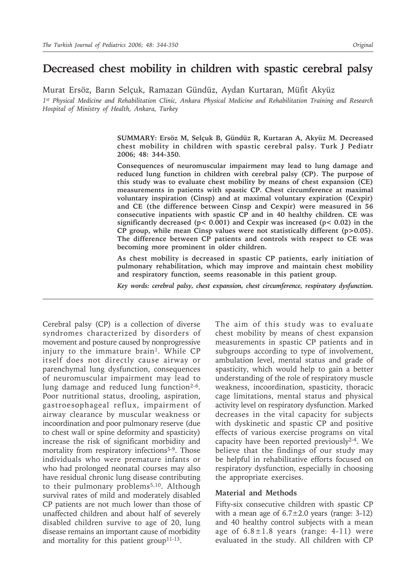# **Decreased chest mobility in children with spastic cerebral palsy**

Murat Ersöz, Barın Selçuk, Ramazan Gündüz, Aydan Kurtaran, Müfit Akyüz *1st Physical Medicine and Rehabilitation Clinic, Ankara Physical Medicine and Rehabilitation Training and Research Hospital of Ministry of Health, Ankara, Turkey*

> **SUMMARY: Ersöz M, Selçuk B, Gündüz R, Kurtaran A, Akyüz M. Decreased chest mobility in children with spastic cerebral palsy. Turk J Pediatr 2006; 48: 344-350.**

> **Consequences of neuromuscular impairment may lead to lung damage and reduced lung function in children with cerebral palsy (CP). The purpose of this study was to evaluate chest mobility by means of chest expansion (CE) measurements in patients with spastic CP. Chest circumference at maximal voluntary inspiration (Cinsp) and at maximal voluntary expiration (Cexpir) and CE (the difference between Cinsp and Cexpir) were measured in 56 consecutive inpatients with spastic CP and in 40 healthy children. CE was significantly decreased (p< 0.001) and Cexpir was increased (p< 0.02) in the CP group, while mean Cinsp values were not statistically different (p>0.05). The difference between CP patients and controls with respect to CE was becoming more prominent in older children.**

> **As chest mobility is decreased in spastic CP patients, early initiation of pulmonary rehabilitation, which may improve and maintain chest mobility and respiratory function, seems reasonable in this patient group.**

> *Key words: cerebral palsy, chest expansion, chest circumference, respiratory dysfunction.*

Cerebral palsy (CP) is a collection of diverse syndromes characterized by disorders of movement and posture caused by nonprogressive injury to the immature brain<sup>1</sup>. While CP itself does not directly cause airway or parenchymal lung dysfunction, consequences of neuromuscular impairment may lead to lung damage and reduced lung function<sup>2-6</sup>. Poor nutritional status, drooling, aspiration, gastroesophageal reflux, impairment of airway clearance by muscular weakness or incoordination and poor pulmonary reserve (due to chest wall or spine deformity and spasticity) increase the risk of significant morbidity and mortality from respiratory infections<sup>5-9</sup>. Those individuals who were premature infants or who had prolonged neonatal courses may also have residual chronic lung disease contributing to their pulmonary problems<sup>5,10</sup>. Although survival rates of mild and moderately disabled CP patients are not much lower than those of unaffected children and about half of severely disabled children survive to age of 20, lung disease remains an important cause of morbidity and mortality for this patient group<sup>11-13</sup>.

The aim of this study was to evaluate chest mobility by means of chest expansion measurements in spastic CP patients and in subgroups according to type of involvement, ambulation level, mental status and grade of spasticity, which would help to gain a better understanding of the role of respiratory muscle weakness, incoordination, spasticity, thoracic cage limitations, mental status and physical activity level on respiratory dysfunction. Marked decreases in the vital capacity for subjects with dyskinetic and spastic CP and positive effects of various exercise programs on vital capacity have been reported previously2-4. We believe that the findings of our study may be helpful in rehabilitative efforts focused on respiratory dysfunction, especially in choosing the appropriate exercises.

### **Material and Methods**

Fifty-six consecutive children with spastic CP with a mean age of  $6.7 \pm 2.0$  years (range: 3-12) and 40 healthy control subjects with a mean age of  $6.8 \pm 1.8$  years (range: 4-11) were evaluated in the study. All children with CP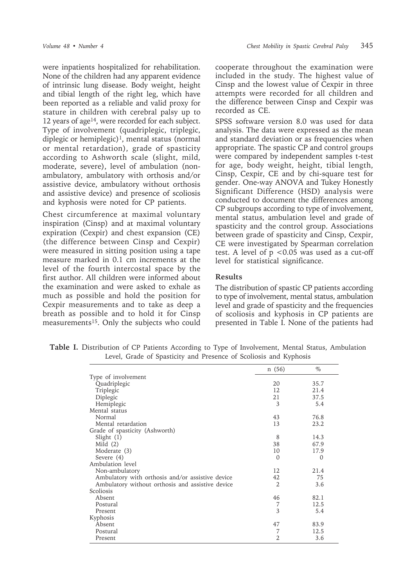were inpatients hospitalized for rehabilitation. None of the children had any apparent evidence of intrinsic lung disease. Body weight, height and tibial length of the right leg, which have been reported as a reliable and valid proxy for stature in children with cerebral palsy up to 12 years of age14, were recorded for each subject. Type of involvement (quadriplegic, triplegic, diplegic or hemiplegic)<sup>1</sup>, mental status (normal or mental retardation), grade of spasticity according to Ashworth scale (slight, mild, moderate, severe), level of ambulation (nonambulatory, ambulatory with orthosis and/or assistive device, ambulatory without orthosis and assistive device) and presence of scoliosis and kyphosis were noted for CP patients.

Chest circumference at maximal voluntary inspiration (Cinsp) and at maximal voluntary expiration (Cexpir) and chest expansion (CE) (the difference between Cinsp and Cexpir) were measured in sitting position using a tape measure marked in 0.1 cm increments at the level of the fourth intercostal space by the first author. All children were informed about the examination and were asked to exhale as much as possible and hold the position for Cexpir measurements and to take as deep a breath as possible and to hold it for Cinsp measurements<sup>15</sup>. Only the subjects who could cooperate throughout the examination were included in the study. The highest value of Cinsp and the lowest value of Cexpir in three attempts were recorded for all children and the difference between Cinsp and Cexpir was recorded as CE.

SPSS software version 8.0 was used for data analysis. The data were expressed as the mean and standard deviation or as frequencies when appropriate. The spastic CP and control groups were compared by independent samples t-test for age, body weight, height, tibial length, Cinsp, Cexpir, CE and by chi-square test for gender. One-way ANOVA and Tukey Honestly Significant Difference (HSD) analysis were conducted to document the differences among CP subgroups according to type of involvement, mental status, ambulation level and grade of spasticity and the control group. Associations between grade of spasticity and Cinsp, Cexpir, CE were investigated by Spearman correlation test. A level of p <0.05 was used as a cut-off level for statistical significance.

## **Results**

The distribution of spastic CP patients according to type of involvement, mental status, ambulation level and grade of spasticity and the frequencies of scoliosis and kyphosis in CP patients are presented in Table I. None of the patients had

**Table I.** Distribution of CP Patients According to Type of Involvement, Mental Status, Ambulation Level, Grade of Spasticity and Presence of Scoliosis and Kyphosis

|                                                  | n(56)          | $\%$     |
|--------------------------------------------------|----------------|----------|
| Type of involvement                              |                |          |
| Quadriplegic                                     | 20             | 35.7     |
| Triplegic                                        | 12             | 21.4     |
| Diplegic                                         | 21             | 37.5     |
| Hemiplegic                                       | 3              | 5.4      |
| Mental status                                    |                |          |
| Normal                                           | 43             | 76.8     |
| Mental retardation                               | 13             | 23.2     |
| Grade of spasticity (Ashworth)                   |                |          |
| Slight $(1)$                                     | 8              | 14.3     |
| Mild $(2)$                                       | 38             | 67.9     |
| Moderate (3)                                     | 10             | 17.9     |
| Severe (4)                                       | $\Omega$       | $\Omega$ |
| Ambulation level                                 |                |          |
| Non-ambulatory                                   | 12             | 21.4     |
| Ambulatory with orthosis and/or assistive device | 42             | 75       |
| Ambulatory without orthosis and assistive device | $\overline{2}$ | 3.6      |
| Scoliosis                                        |                |          |
| Absent                                           | 46             | 82.1     |
| Postural                                         | 7              | 12.5     |
| Present                                          | 3              | 5.4      |
| Kyphosis                                         |                |          |
| Absent                                           | 47             | 83.9     |
| Postural                                         | 7              | 12.5     |
| Present                                          | 2              | 3.6      |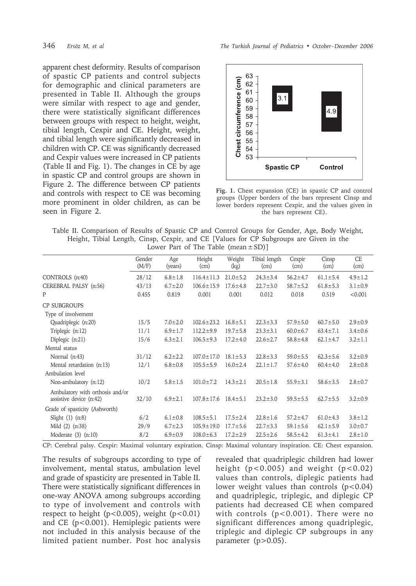apparent chest deformity. Results of comparison of spastic CP patients and control subjects for demographic and clinical parameters are presented in Table II. Although the groups were similar with respect to age and gender, there were statistically significant differences between groups with respect to height, weight, tibial length, Cexpir and CE. Height, weight, and tibial length were significantly decreased in children with CP. CE was significantly decreased and Cexpir values were increased in CP patients (Table II and Fig. 1). The changes in CE by age in spastic CP and control groups are shown in Figure 2. The difference between CP patients and controls with respect to CE was becoming more prominent in older children, as can be seen in Figure 2.



**Fig. 1.** Chest expansion (CE) in spastic CP and control groups (Upper borders of the bars represent Cinsp and lower borders represent Cexpir, and the values given in the bars represent CE).

Table II. Comparison of Results of Spastic CP and Control Groups for Gender, Age, Body Weight, Height, Tibial Length, Cinsp, Cexpir, and CE [Values for CP Subgroups are Given in the Lower Part of The Table  $(\text{mean} \pm SD)$ ]

|                                                            | Gender<br>(M/F) | Age<br>(years) | Height<br>(cm)   | Weight<br>(kg) | Tibial length<br>(cm) | Cexpir<br>(cm) | Cinsp<br>(cm)  | <b>CE</b><br>(cm) |
|------------------------------------------------------------|-----------------|----------------|------------------|----------------|-----------------------|----------------|----------------|-------------------|
| CONTROLS (n:40)                                            | 28/12           | $6.8 \pm 1.8$  | $116.4 \pm 11.3$ | $21.0 \pm 5.2$ | $24.3 \pm 3.4$        | $56.2 \pm 4.7$ | $61.1 \pm 5.4$ | $4.9 \pm 1.2$     |
| CEREBRAL PALSY (n:56)                                      | 43/13           | $6.7 \pm 2.0$  | $106.6 \pm 15.9$ | $17.6 \pm 4.8$ | $22.7 \pm 3.0$        | $58.7 \pm 5.2$ | $61.8 \pm 5.3$ | $3.1 \pm 0.9$     |
| P                                                          | 0.455           | 0.819          | 0.001            | 0.001          | 0.012                 | 0.018          | 0.519          | < 0.001           |
| <b>CP SUBGROUPS</b>                                        |                 |                |                  |                |                       |                |                |                   |
| Type of involvement                                        |                 |                |                  |                |                       |                |                |                   |
| Quadriplegic (n:20)                                        | 15/5            | $7.0 \pm 2.0$  | $102.6 \pm 23.2$ | $16.8 \pm 5.1$ | $22.3 \pm 3.3$        | $57.9 \pm 5.0$ | $60.7 \pm 5.0$ | $2.9 \pm 0.9$     |
| Triplegic (n:12)                                           | 11/1            | $6.9 \pm 1.7$  | $112.2 \pm 9.9$  | $19.7 \pm 5.8$ | $23.3 \pm 3.1$        | $60.0 \pm 6.7$ | $63.4 \pm 7.1$ | $3.4 \pm 0.6$     |
| Diplegic (n:21)                                            | 15/6            | $6.3 \pm 2.1$  | $106.5 \pm 9.3$  | $17.2 \pm 4.0$ | $22.6 \pm 2.7$        | $58.8 \pm 4.8$ | $62.1 \pm 4.7$ | $3.2 \pm 1.1$     |
| Mental status                                              |                 |                |                  |                |                       |                |                |                   |
| Normal (n:43)                                              | 31/12           | $6.2 \pm 2.2$  | $107.0 \pm 17.0$ | $18.1 \pm 5.3$ | $22.8 \pm 3.3$        | $59.0 \pm 5.5$ | $62.3 \pm 5.6$ | $3.2 \pm 0.9$     |
| Mental retardation (n:13)                                  | 12/1            | $6.8 \pm 0.8$  | $105.5 \pm 5.9$  | $16.0 \pm 2.4$ | $22.1 \pm 1.7$        | $57.6 \pm 4.0$ | $60.4 \pm 4.0$ | $2.8 \pm 0.8$     |
| Ambulation level                                           |                 |                |                  |                |                       |                |                |                   |
| Non-ambulatory (n:12)                                      | 10/2            | $5.8 \pm 1.5$  | $101.0 \pm 7.2$  | $14.3 \pm 2.1$ | $20.5 \pm 1.8$        | $55.9 \pm 3.1$ | $58.6 \pm 3.5$ | $2.8 \pm 0.7$     |
| Ambulatory with orthosis and/or<br>assistive device (n:42) | 32/10           | $6.9 \pm 2.1$  | $107.8 \pm 17.6$ | $18.4 \pm 5.1$ | $23.2 \pm 3.0$        | $59.5 \pm 5.5$ | $62.7 \pm 5.5$ | $3.2 \pm 0.9$     |
| Grade of spasticity (Ashworth)                             |                 |                |                  |                |                       |                |                |                   |
| Slight $(1)$ $(n:8)$                                       | 6/2             | $6.1 \pm 0.8$  | $108.5 \pm 5.1$  | $17.5 \pm 2.4$ | $22.8 \pm 1.6$        | $57.2 \pm 4.7$ | $61.0 \pm 4.3$ | $3.8 \pm 1.2$     |
| Mild (2) (n:38)                                            | 29/9            | $6.7 \pm 2.3$  | $105.9 \pm 19.0$ | $17.7 \pm 5.6$ | $22.7 \pm 3.3$        | $59.1 \pm 5.6$ | $62.1 \pm 5.9$ | $3.0 \pm 0.7$     |
| Moderate $(3)$ $(n:10)$                                    | 8/2             | $6.9 \pm 0.9$  | $108.0 \pm 6.3$  | $17.2 \pm 2.9$ | $22.5 \pm 2.6$        | $58.5 \pm 4.2$ | $61.3 \pm 4.1$ | $2.8 \pm 1.0$     |

CP: Cerebral palsy. Cexpir: Maximal voluntary expiration. Cinsp: Maximal voluntary inspiration. CE: Chest expansion.

The results of subgroups according to type of involvement, mental status, ambulation level and grade of spasticity are presented in Table II. There were statistically significant differences in one-way ANOVA among subgroups according to type of involvement and controls with respect to height ( $p < 0.005$ ), weight ( $p < 0.01$ ) and CE (p<0.001). Hemiplegic patients were not included in this analysis because of the limited patient number. Post hoc analysis

revealed that quadriplegic children had lower height  $(p<0.005)$  and weight  $(p<0.02)$ values than controls, diplegic patients had lower weight values than controls  $(p<0.04)$ and quadriplegic, triplegic, and diplegic CP patients had decreased CE when compared with controls (p<0.001). There were no significant differences among quadriplegic, triplegic and diplegic CP subgroups in any parameter  $(p>0.05)$ .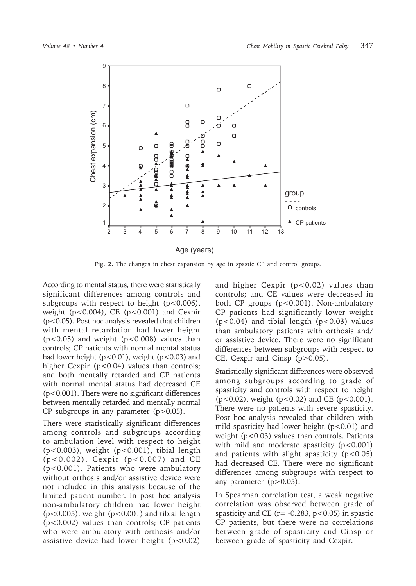

**Fig. 2.** The changes in chest expansion by age in spastic CP and control groups.

According to mental status, there were statistically significant differences among controls and subgroups with respect to height  $(p<0.006)$ , weight ( $p < 0.004$ ), CE ( $p < 0.001$ ) and Cexpir (p<0.05). Post hoc analysis revealed that children with mental retardation had lower height  $(p<0.05)$  and weight  $(p<0.008)$  values than controls; CP patients with normal mental status had lower height ( $p < 0.01$ ), weight ( $p < 0.03$ ) and higher Cexpir (p<0.04) values than controls; and both mentally retarded and CP patients with normal mental status had decreased CE (p<0.001). There were no significant differences between mentally retarded and mentally normal CP subgroups in any parameter  $(p>0.05)$ .

There were statistically significant differences among controls and subgroups according to ambulation level with respect to height (p<0.003), weight (p<0.001), tibial length (p<0.002), Cexpir (p<0.007) and CE (p<0.001). Patients who were ambulatory without orthosis and/or assistive device were not included in this analysis because of the limited patient number. In post hoc analysis non-ambulatory children had lower height (p<0.005), weight (p<0.001) and tibial length (p<0.002) values than controls; CP patients who were ambulatory with orthosis and/or assistive device had lower height  $(p<0.02)$ 

and higher Cexpir  $(p<0.02)$  values than controls; and CE values were decreased in both CP groups  $(p<0.001)$ . Non-ambulatory CP patients had significantly lower weight  $(p<0.04)$  and tibial length  $(p<0.03)$  values than ambulatory patients with orthosis and/ or assistive device. There were no significant differences between subgroups with respect to CE, Cexpir and Cinsp (p>0.05).

Statistically significant differences were observed among subgroups according to grade of spasticity and controls with respect to height  $(p<0.02)$ , weight  $(p<0.02)$  and CE  $(p<0.001)$ . There were no patients with severe spasticity. Post hoc analysis revealed that children with mild spasticity had lower height  $(p<0.01)$  and weight (p<0.03) values than controls. Patients with mild and moderate spasticity  $(p<0.001)$ and patients with slight spasticity  $(p<0.05)$ had decreased CE. There were no significant differences among subgroups with respect to any parameter  $(p>0.05)$ .

In Spearman correlation test, a weak negative correlation was observed between grade of spasticity and CE ( $r = -0.283$ ,  $p < 0.05$ ) in spastic CP patients, but there were no correlations between grade of spasticity and Cinsp or between grade of spasticity and Cexpir.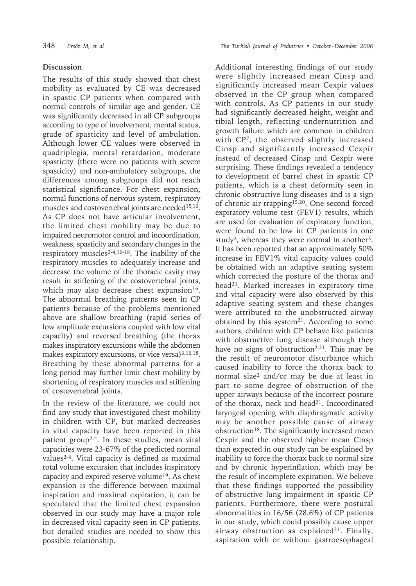# **Discussion**

The results of this study showed that chest mobility as evaluated by CE was decreased in spastic CP patients when compared with normal controls of similar age and gender. CE was significantly decreased in all CP subgroups according to type of involvement, mental status, grade of spasticity and level of ambulation. Although lower CE values were observed in quadriplegia, mental retardation, moderate spasticity (there were no patients with severe spasticity) and non-ambulatory subgroups, the differences among subgroups did not reach statistical significance. For chest expansion, normal functions of nervous system, respiratory muscles and costovertebral joints are needed<sup>15,16</sup>. As CP does not have articular involvement, the limited chest mobility may be due to impaired neuromotor control and incoordination, weakness, spasticity and secondary changes in the respiratory muscles2-4,16-18. The inability of the respiratory muscles to adequately increase and decrease the volume of the thoracic cavity may result in stiffening of the costovertebral joints, which may also decrease chest expansion<sup>16</sup>. The abnormal breathing patterns seen in CP patients because of the problems mentioned above are shallow breathing (rapid series of low amplitude excursions coupled with low vital capacity) and reversed breathing (the thorax makes inspiratory excursions while the abdomen makes expiratory excursions, or vice versa)<sup>3,16,18</sup>. Breathing by these abnormal patterns for a long period may further limit chest mobility by shortening of respiratory muscles and stiffening of costovertebral joints.

In the review of the literature, we could not find any study that investigated chest mobility in children with CP, but marked decreases in vital capacity have been reported in this patient group<sup>2-4</sup>. In these studies, mean vital capacities were 23-67% of the predicted normal values2-4. Vital capacity is defined as maximal total volume excursion that includes inspiratory capacity and expired reserve volume19. As chest expansion is the difference between maximal inspiration and maximal expiration, it can be speculated that the limited chest expansion observed in our study may have a major role in decreased vital capacity seen in CP patients, but detailed studies are needed to show this possible relationship.

348 *Ersöz M, et al The Turkish Journal of Pediatrics • October - December 2006*

Additional interesting findings of our study were slightly increased mean Cinsp and significantly increased mean Cexpir values observed in the CP group when compared with controls. As CP patients in our study had significantly decreased height, weight and tibial length, reflecting undernutrition and growth failure which are common in children with CP7, the observed slightly increased Cinsp and significantly increased Cexpir instead of decreased Cinsp and Cexpir were surprising. These findings revealed a tendency to development of barrel chest in spastic CP patients, which is a chest deformity seen in chronic obstructive lung diseases and is a sign of chronic air-trapping15,20. One-second forced expiratory volume test (FEV1) results, which are used for evaluation of expiratory function, were found to be low in CP patients in one study<sup>2</sup>, whereas they were normal in another<sup>3</sup>. It has been reported that an approximately 50% increase in FEV1% vital capacity values could be obtained with an adaptive seating system which corrected the posture of the thorax and head<sup>21</sup>. Marked increases in expiratory time and vital capacity were also observed by this adaptive seating system and these changes were attributed to the unobstructed airway obtained by this system<sup>21</sup>. According to some authors, children with CP behave like patients with obstructive lung disease although they have no signs of obstruction<sup>2,21</sup>. This may be the result of neuromotor disturbance which caused inability to force the thorax back to normal size2 and/or may be due at least in part to some degree of obstruction of the upper airways because of the incorrect posture of the thorax, neck and head<sup>21</sup>. Incoordinated laryngeal opening with diaphragmatic activity may be another possible cause of airway obstruction18. The significantly increased mean Cexpir and the observed higher mean Cinsp than expected in our study can be explained by inability to force the thorax back to normal size and by chronic hyperinflation, which may be the result of incomplete expiration. We believe that these findings supported the possibility of obstructive lung impairment in spastic CP patients. Furthermore, there were postural abnormalities in 16/56 (28.6%) of CP patients in our study, which could possibly cause upper airway obstruction as explained<sup>21</sup>. Finally, aspiration with or without gastroesophageal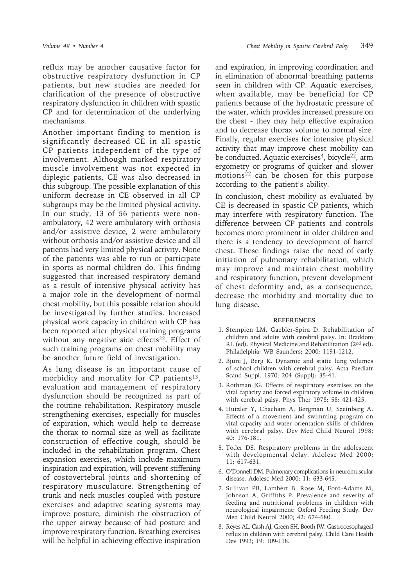reflux may be another causative factor for obstructive respiratory dysfunction in CP patients, but new studies are needed for clarification of the presence of obstructive respiratory dysfunction in children with spastic CP and for determination of the underlying mechanisms.

Another important finding to mention is significantly decreased CE in all spastic CP patients independent of the type of involvement. Although marked respiratory muscle involvement was not expected in diplegic patients, CE was also decreased in this subgroup. The possible explanation of this uniform decrease in CE observed in all CP subgroups may be the limited physical activity. In our study, 13 of 56 patients were nonambulatory, 42 were ambulatory with orthosis and/or assistive device, 2 were ambulatory without orthosis and/or assistive device and all patients had very limited physical activity. None of the patients was able to run or participate in sports as normal children do. This finding suggested that increased respiratory demand as a result of intensive physical activity has a major role in the development of normal chest mobility, but this possible relation should be investigated by further studies. Increased physical work capacity in children with CP has been reported after physical training programs without any negative side effects<sup>22</sup>. Effect of such training programs on chest mobility may be another future field of investigation.

As lung disease is an important cause of morbidity and mortality for CP patients<sup>13</sup>, evaluation and management of respiratory dysfunction should be recognized as part of the routine rehabilitation. Respiratory muscle strengthening exercises, especially for muscles of expiration, which would help to decrease the thorax to normal size as well as facilitate construction of effective cough, should be included in the rehabilitation program. Chest expansion exercises, which include maximum inspiration and expiration, will prevent stiffening of costovertebral joints and shortening of respiratory musculature. Strengthening of trunk and neck muscles coupled with posture exercises and adaptive seating systems may improve posture, diminish the obstruction of the upper airway because of bad posture and improve respiratory function. Breathing exercises will be helpful in achieving effective inspiration

and expiration, in improving coordination and in elimination of abnormal breathing patterns seen in children with CP. Aquatic exercises, when available, may be beneficial for CP patients because of the hydrostatic pressure of the water, which provides increased pressure on the chest - they may help effective expiration and to decrease thorax volume to normal size. Finally, regular exercises for intensive physical activity that may improve chest mobility can be conducted. Aquatic exercises<sup>4</sup>, bicycle<sup>22</sup>, arm ergometry or programs of quicker and slower motions<sup>22</sup> can be chosen for this purpose according to the patient's ability.

In conclusion, chest mobility as evaluated by CE is decreased in spastic CP patients, which may interfere with respiratory function. The difference between CP patients and controls becomes more prominent in older children and there is a tendency to development of barrel chest. These findings raise the need of early initiation of pulmonary rehabilitation, which may improve and maintain chest mobility and respiratory function, prevent development of chest deformity and, as a consequence, decrease the morbidity and mortality due to lung disease.

#### **REFERENCES**

- 1. Stempien LM, Gaebler-Spira D. Rehabilitation of children and adults with cerebral palsy. In: Braddom RL (ed). Physical Medicine and Rehabilitation (2nd ed). Philadelphia: WB Saunders; 2000: 1191-1212.
- 2. Bjure J, Berg K. Dynamic and static lung volumes of school children with cerebral palsy. Acta Paediatr Scand Suppl. 1970; 204 (Suppl): 35-41.
- 3. Rothman JG. Effects of respiratory exercises on the vital capacity and forced expiratory volume in children with cerebral palsy. Phys Ther 1978; 58: 421-425.
- 4. Hutzler Y, Chacham A, Bergman U, Szeinberg A. Effects of a movement and swimming program on vital capacity and water orientation skills of children with cerebral palsy. Dev Med Child Neurol 1998; 40: 176-181.
- 5. Toder DS. Respiratory problems in the adolescent with developmental delay. Adolesc Med 2000; 11: 617-631.
- 6. O'Donnell DM. Pulmonary complications in neuromuscular disease. Adolesc Med 2000; 11: 633-645.
- 7. Sullivan PB, Lambert B, Rose M, Ford-Adams M, Johnson A, Griffiths P. Prevalence and severity of feeding and nutritional problems in children with neurological impairment: Oxford Feeding Study. Dev Med Child Neurol 2000; 42: 674-680.
- 8. Reyes AL, Cash AJ, Green SH, Booth IW. Gastrooesophageal reflux in children with cerebral palsy. Child Care Health Dev 1993; 19: 109-118.